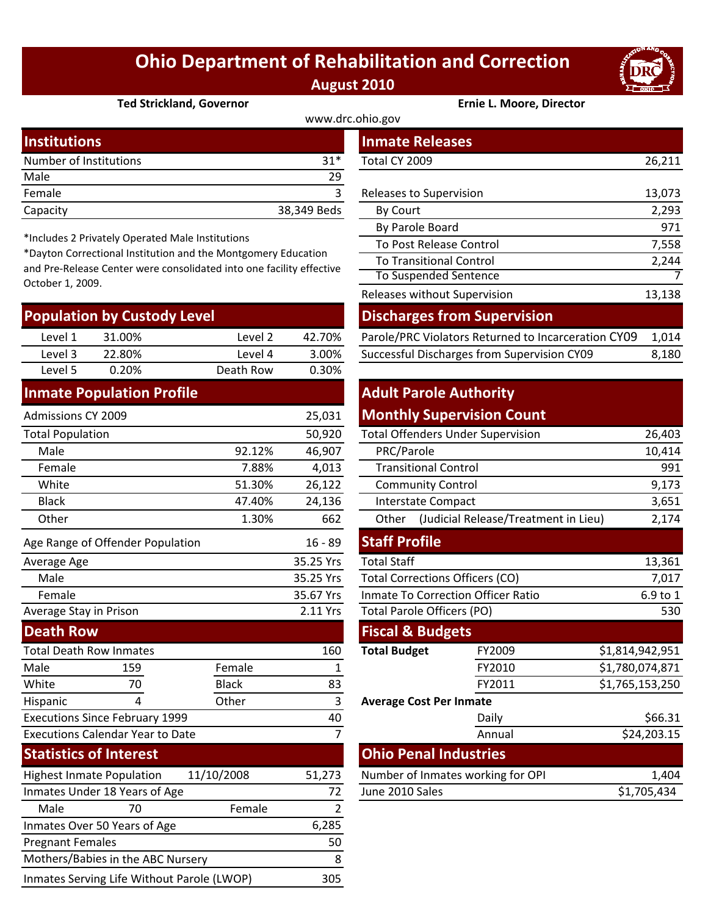## **Ohio Department of Rehabilitation and Correction August 2010**



#### **Ted Strickland, Governor Ernie L. Moore, Director**

| www.drc.ohio.gov       |             |                         |        |  |  |
|------------------------|-------------|-------------------------|--------|--|--|
| <b>Institutions</b>    |             | <b>Inmate Releases</b>  |        |  |  |
| Number of Institutions | $31*$       | Total CY 2009           | 26,211 |  |  |
| Male                   | 29          |                         |        |  |  |
| Female                 |             | Releases to Supervision | 13,073 |  |  |
| Capacity               | 38,349 Beds | By Court                | 2,293  |  |  |
|                        |             |                         |        |  |  |

\*Includes 2 Privately Operated Male Institutions

\*Dayton Correctional Institution and the Montgomery Education and Pre‐Release Center were consolidated into one facility effective October 1, 2009.

| <b>Population by Custody Level</b> |        |           |        | <b>Discharges from Supervision</b>                  |       |  |
|------------------------------------|--------|-----------|--------|-----------------------------------------------------|-------|--|
| Level 1                            | 31.00% | Level 2   | 42.70% | Parole/PRC Violators Returned to Incarceration CY09 | 1.014 |  |
| Level 3                            | 22.80% | Level 4   | 3.00%  | Successful Discharges from Supervision CY09         | 8,180 |  |
| Level 5                            | 0.20%  | Death Row | 0.30%  |                                                     |       |  |
|                                    |        |           |        |                                                     |       |  |

#### **Inmate Population Profile**

| Admissions CY 2009                             |                                         |              | 25,031                                 |                                           | <b>Monthly Supervision Count</b>     |                 |
|------------------------------------------------|-----------------------------------------|--------------|----------------------------------------|-------------------------------------------|--------------------------------------|-----------------|
| <b>Total Population</b>                        |                                         |              | 50,920                                 | <b>Total Offenders Under Supervision</b>  |                                      | 26,403          |
| Male                                           |                                         | 92.12%       | 46,907                                 | PRC/Parole                                |                                      | 10,414          |
| Female                                         |                                         | 7.88%        | 4,013                                  | <b>Transitional Control</b>               |                                      | 991             |
| White                                          |                                         | 51.30%       | 26,122                                 | <b>Community Control</b>                  |                                      | 9,173           |
| <b>Black</b>                                   |                                         | 47.40%       | 24,136                                 | <b>Interstate Compact</b>                 |                                      | 3,651           |
| Other                                          |                                         | 1.30%        | 662                                    | Other                                     | (Judicial Release/Treatment in Lieu) | 2,174           |
|                                                | Age Range of Offender Population        |              | $16 - 89$                              | <b>Staff Profile</b>                      |                                      |                 |
| Average Age                                    |                                         |              | 35.25 Yrs                              | <b>Total Staff</b>                        |                                      |                 |
| Male                                           |                                         | 35.25 Yrs    | <b>Total Corrections Officers (CO)</b> |                                           | 7,017                                |                 |
| Female                                         |                                         |              | 35.67 Yrs                              | <b>Inmate To Correction Officer Ratio</b> |                                      | 6.9 to 1        |
| Average Stay in Prison                         |                                         |              | 2.11 Yrs                               | <b>Total Parole Officers (PO)</b>         |                                      | 530             |
| <b>Death Row</b>                               |                                         |              |                                        | <b>Fiscal &amp; Budgets</b>               |                                      |                 |
| <b>Total Death Row Inmates</b>                 |                                         |              | 160                                    | <b>Total Budget</b>                       | FY2009                               | \$1,814,942,951 |
| Male                                           | 159                                     | Female       |                                        |                                           | FY2010                               | \$1,780,074,871 |
| White                                          | 70                                      | <b>Black</b> | 83                                     |                                           | FY2011                               | \$1,765,153,250 |
| Hispanic                                       | 4                                       | Other        | 3                                      | <b>Average Cost Per Inmate</b>            |                                      |                 |
| <b>Executions Since February 1999</b>          |                                         |              | 40                                     |                                           | Daily                                | \$66.31         |
|                                                | <b>Executions Calendar Year to Date</b> |              | $\overline{7}$                         |                                           | Annual                               | \$24,203.15     |
| <b>Statistics of Interest</b>                  |                                         |              |                                        | <b>Ohio Penal Industries</b>              |                                      |                 |
| <b>Highest Inmate Population</b><br>11/10/2008 |                                         | 51,273       | Number of Inmates working for OPI      |                                           | 1,404                                |                 |
| Inmates Under 18 Years of Age                  |                                         |              | 72                                     | June 2010 Sales                           |                                      | \$1,705,434     |
| Male                                           | 70                                      | Female       | 2                                      |                                           |                                      |                 |
|                                                | Inmates Over 50 Years of Age            |              | 6,285                                  |                                           |                                      |                 |
| <b>Pregnant Females</b>                        |                                         |              | 50                                     |                                           |                                      |                 |
| Mothers/Babies in the ABC Nursery              |                                         |              | 8                                      |                                           |                                      |                 |

Inmates Serving Life Without Parole (LWOP) 305

|                                                                                                                                                                                                  | mber of Institutions.     |                      | 31T         | TOTAL CY 2009                                       | 20,211  |
|--------------------------------------------------------------------------------------------------------------------------------------------------------------------------------------------------|---------------------------|----------------------|-------------|-----------------------------------------------------|---------|
| le                                                                                                                                                                                               |                           |                      | 29          |                                                     |         |
| nale                                                                                                                                                                                             |                           |                      | 3           | Releases to Supervision                             | 13,073  |
| acity                                                                                                                                                                                            |                           |                      | 38,349 Beds | By Court                                            | 2,293   |
|                                                                                                                                                                                                  |                           |                      |             | By Parole Board                                     | 971     |
| cludes 2 Privately Operated Male Institutions<br>yton Correctional Institution and the Montgomery Education<br>Pre-Release Center were consolidated into one facility effective<br>ober 1, 2009. |                           |                      |             | To Post Release Control                             | 7,558   |
|                                                                                                                                                                                                  |                           |                      |             | <b>To Transitional Control</b>                      | 2,244   |
|                                                                                                                                                                                                  |                           |                      |             | To Suspended Sentence                               |         |
|                                                                                                                                                                                                  |                           |                      |             | Releases without Supervision                        | 13,138  |
|                                                                                                                                                                                                  | pulation by Custody Level |                      |             | <b>Discharges from Supervision</b>                  |         |
| Level 1                                                                                                                                                                                          | 31.00%                    | Level 2              | 42.70%      | Parole/PRC Violators Returned to Incarceration CY09 | 1,014   |
| $\cdot$ $\cdot$ $\cdot$                                                                                                                                                                          | -- ----                   | $\sim$ $\sim$ $\sim$ | .           | مصدرها والمستحير البحار والمستحير                   | - - - - |

### **Adult Parole Authority Monthly Supervision Count**

|        | 50,920         |                                           | <b>Total Offenders Under Supervision</b>      | 26,403          |  |
|--------|----------------|-------------------------------------------|-----------------------------------------------|-----------------|--|
| 92.12% | 46,907         | PRC/Parole                                | 10,414                                        |                 |  |
| 7.88%  | 4,013          | <b>Transitional Control</b>               | 991                                           |                 |  |
| 51.30% | 26,122         | <b>Community Control</b>                  | 9,173                                         |                 |  |
| 47.40% | 24,136         | <b>Interstate Compact</b>                 | 3,651                                         |                 |  |
| 1.30%  | 662            | Other                                     | (Judicial Release/Treatment in Lieu)<br>2,174 |                 |  |
|        | $16 - 89$      | <b>Staff Profile</b>                      |                                               |                 |  |
|        | 35.25 Yrs      | <b>Total Staff</b>                        |                                               | 13,361          |  |
|        | 35.25 Yrs      | <b>Total Corrections Officers (CO)</b>    | 7,017                                         |                 |  |
|        | 35.67 Yrs      | <b>Inmate To Correction Officer Ratio</b> | 6.9 to 1                                      |                 |  |
|        | 2.11 Yrs       | <b>Total Parole Officers (PO)</b>         | 530                                           |                 |  |
|        |                | <b>Fiscal &amp; Budgets</b>               |                                               |                 |  |
|        | 160            | <b>Total Budget</b>                       | FY2009                                        | \$1,814,942,951 |  |
| ale    | 1              |                                           | FY2010                                        | \$1,780,074,871 |  |
| :k     | 83             |                                           | FY2011                                        | \$1,765,153,250 |  |
| er     | 3              | <b>Average Cost Per Inmate</b>            |                                               |                 |  |
|        | 40             |                                           | Daily                                         | \$66.31         |  |
|        | $\overline{7}$ |                                           | Annual                                        | \$24,203.15     |  |
|        |                |                                           | <b>Ohio Penal Industries</b>                  |                 |  |
| 08     | 51,273         |                                           | Number of Inmates working for OPI             | 1,404           |  |
|        | 72             | June 2010 Sales                           |                                               | \$1,705,434     |  |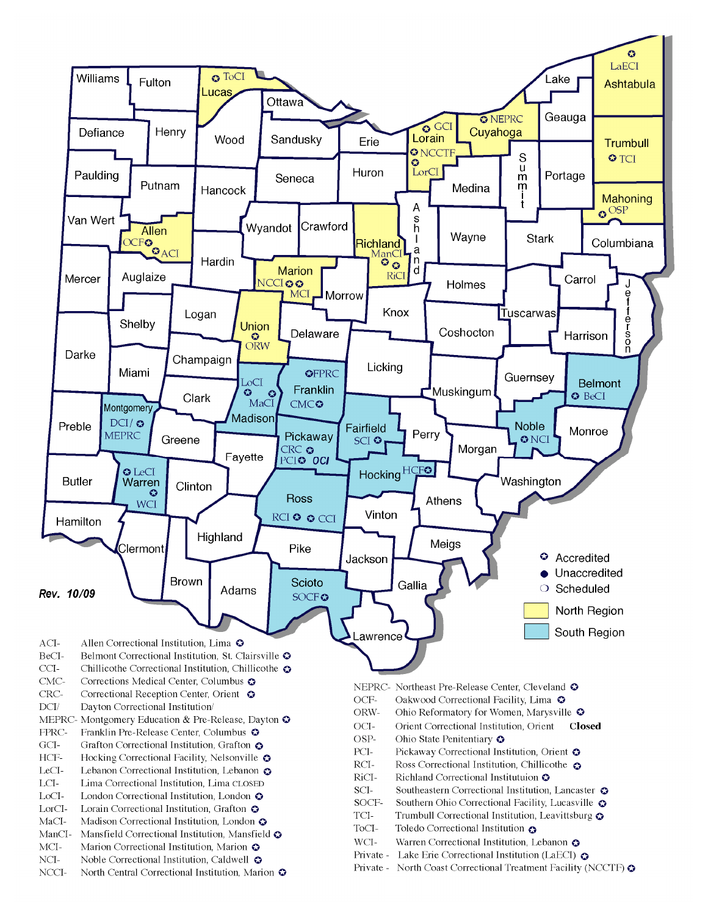